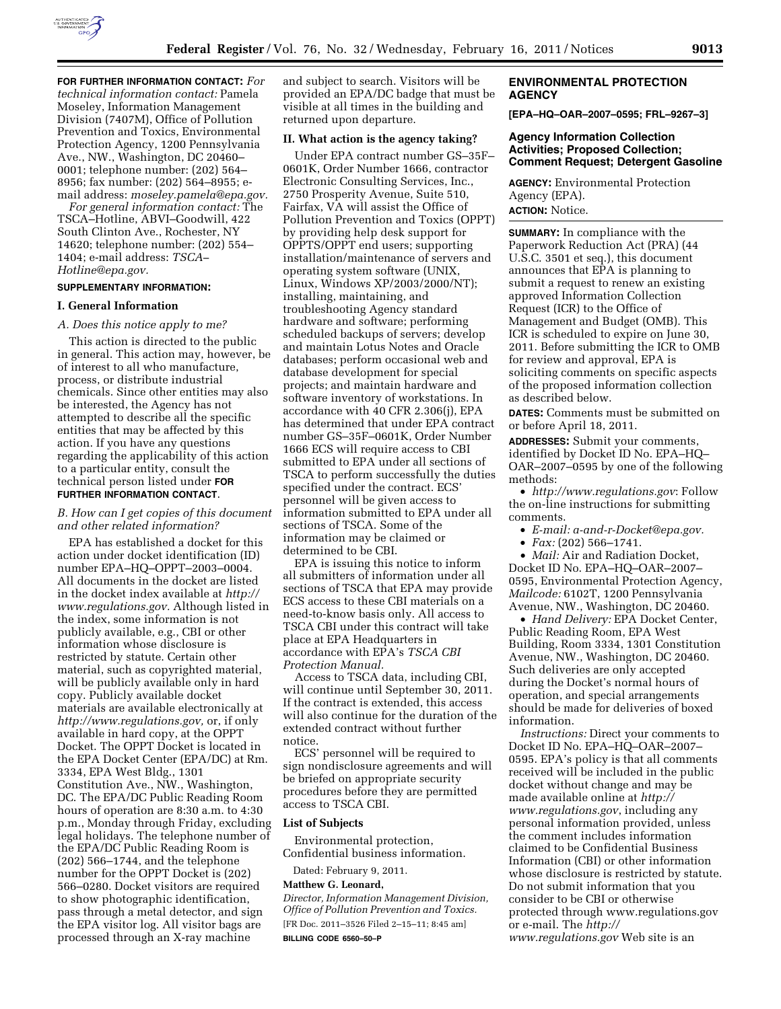

**FOR FURTHER INFORMATION CONTACT:** *For technical information contact:* Pamela Moseley, Information Management Division (7407M), Office of Pollution Prevention and Toxics, Environmental Protection Agency, 1200 Pennsylvania Ave., NW., Washington, DC 20460– 0001; telephone number: (202) 564– 8956; fax number: (202) 564–8955; email address: *[moseley.pamela@epa.gov.](mailto:moseley.pamela@epa.gov)* 

*For general information contact:* The TSCA–Hotline, ABVI–Goodwill, 422 South Clinton Ave., Rochester, NY 14620; telephone number: (202) 554– 1404; e-mail address: *[TSCA–](mailto:TSCA-Hotline@epa.gov)  [Hotline@epa.gov.](mailto:TSCA-Hotline@epa.gov)* 

# **SUPPLEMENTARY INFORMATION:**

#### **I. General Information**

#### *A. Does this notice apply to me?*

This action is directed to the public in general. This action may, however, be of interest to all who manufacture, process, or distribute industrial chemicals. Since other entities may also be interested, the Agency has not attempted to describe all the specific entities that may be affected by this action. If you have any questions regarding the applicability of this action to a particular entity, consult the technical person listed under **FOR FURTHER INFORMATION CONTACT**.

#### *B. How can I get copies of this document and other related information?*

EPA has established a docket for this action under docket identification (ID) number EPA–HQ–OPPT–2003–0004. All documents in the docket are listed in the docket index available at *[http://](http://www.regulations.gov) [www.regulations.gov.](http://www.regulations.gov)* Although listed in the index, some information is not publicly available, e.g., CBI or other information whose disclosure is restricted by statute. Certain other material, such as copyrighted material, will be publicly available only in hard copy. Publicly available docket materials are available electronically at *[http://www.regulations.gov,](http://www.regulations.gov)* or, if only available in hard copy, at the OPPT Docket. The OPPT Docket is located in the EPA Docket Center (EPA/DC) at Rm. 3334, EPA West Bldg., 1301 Constitution Ave., NW., Washington, DC. The EPA/DC Public Reading Room hours of operation are 8:30 a.m. to 4:30 p.m., Monday through Friday, excluding legal holidays. The telephone number of the EPA/DC Public Reading Room is (202) 566–1744, and the telephone number for the OPPT Docket is (202) 566–0280. Docket visitors are required to show photographic identification, pass through a metal detector, and sign the EPA visitor log. All visitor bags are processed through an X-ray machine

and subject to search. Visitors will be provided an EPA/DC badge that must be visible at all times in the building and returned upon departure.

#### **II. What action is the agency taking?**

Under EPA contract number GS–35F– 0601K, Order Number 1666, contractor Electronic Consulting Services, Inc., 2750 Prosperity Avenue, Suite 510, Fairfax, VA will assist the Office of Pollution Prevention and Toxics (OPPT) by providing help desk support for OPPTS/OPPT end users; supporting installation/maintenance of servers and operating system software (UNIX, Linux, Windows XP/2003/2000/NT); installing, maintaining, and troubleshooting Agency standard hardware and software; performing scheduled backups of servers; develop and maintain Lotus Notes and Oracle databases; perform occasional web and database development for special projects; and maintain hardware and software inventory of workstations. In accordance with 40 CFR 2.306(j), EPA has determined that under EPA contract number GS–35F–0601K, Order Number 1666 ECS will require access to CBI submitted to EPA under all sections of TSCA to perform successfully the duties specified under the contract. ECS' personnel will be given access to information submitted to EPA under all sections of TSCA. Some of the information may be claimed or determined to be CBI.

EPA is issuing this notice to inform all submitters of information under all sections of TSCA that EPA may provide ECS access to these CBI materials on a need-to-know basis only. All access to TSCA CBI under this contract will take place at EPA Headquarters in accordance with EPA's *TSCA CBI Protection Manual.* 

Access to TSCA data, including CBI, will continue until September 30, 2011. If the contract is extended, this access will also continue for the duration of the extended contract without further notice.

ECS' personnel will be required to sign nondisclosure agreements and will be briefed on appropriate security procedures before they are permitted access to TSCA CBI.

#### **List of Subjects**

Environmental protection, Confidential business information.

Dated: February 9, 2011.

## **Matthew G. Leonard,**

*Director, Information Management Division, Office of Pollution Prevention and Toxics.*  [FR Doc. 2011–3526 Filed 2–15–11; 8:45 am] **BILLING CODE 6560–50–P** 

#### **ENVIRONMENTAL PROTECTION AGENCY**

**[EPA–HQ–OAR–2007–0595; FRL–9267–3]** 

### **Agency Information Collection Activities; Proposed Collection; Comment Request; Detergent Gasoline**

**AGENCY:** Environmental Protection Agency (EPA). **ACTION:** Notice.

**SUMMARY:** In compliance with the Paperwork Reduction Act (PRA) (44 U.S.C. 3501 et seq.), this document announces that EPA is planning to submit a request to renew an existing approved Information Collection Request (ICR) to the Office of Management and Budget (OMB). This ICR is scheduled to expire on June 30, 2011. Before submitting the ICR to OMB for review and approval, EPA is soliciting comments on specific aspects of the proposed information collection as described below.

**DATES:** Comments must be submitted on or before April 18, 2011.

**ADDRESSES:** Submit your comments, identified by Docket ID No. EPA–HQ– OAR–2007–0595 by one of the following methods:

• *<http://www.regulations.gov>*: Follow the on-line instructions for submitting comments.

• *E-mail: [a-and-r-Docket@epa.gov.](mailto:a-and-r-Docket@epa.gov)* 

• *Fax:* (202) 566–1741.

• *Mail:* Air and Radiation Docket, Docket ID No. EPA–HQ–OAR–2007– 0595, Environmental Protection Agency, *Mailcode:* 6102T, 1200 Pennsylvania Avenue, NW., Washington, DC 20460.

• *Hand Delivery:* EPA Docket Center, Public Reading Room, EPA West Building, Room 3334, 1301 Constitution Avenue, NW., Washington, DC 20460. Such deliveries are only accepted during the Docket's normal hours of operation, and special arrangements should be made for deliveries of boxed information.

*Instructions:* Direct your comments to Docket ID No. EPA–HQ–OAR–2007– 0595. EPA's policy is that all comments received will be included in the public docket without change and may be made available online at *[http://](http://www.regulations.gov)  [www.regulations.gov](http://www.regulations.gov)*, including any personal information provided, unless the comment includes information claimed to be Confidential Business Information (CBI) or other information whose disclosure is restricted by statute. Do not submit information that you consider to be CBI or otherwise protected through [www.regulations.gov](http://www.regulations.gov)  or e-mail. The *[http://](http://www.regulations.gov)  [www.regulations.gov](http://www.regulations.gov)* Web site is an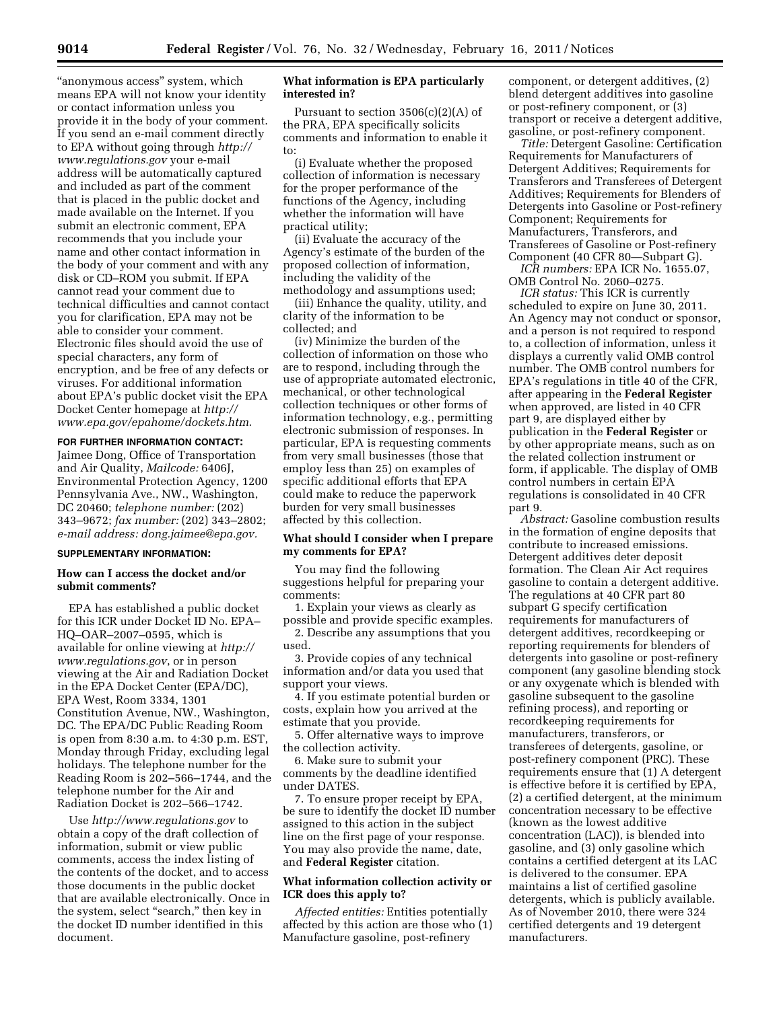"anonymous access" system, which means EPA will not know your identity or contact information unless you provide it in the body of your comment. If you send an e-mail comment directly to EPA without going through *[http://](http://www.regulations.gov) [www.regulations.gov](http://www.regulations.gov)* your e-mail address will be automatically captured and included as part of the comment that is placed in the public docket and made available on the Internet. If you submit an electronic comment, EPA recommends that you include your name and other contact information in the body of your comment and with any disk or CD–ROM you submit. If EPA cannot read your comment due to technical difficulties and cannot contact you for clarification, EPA may not be able to consider your comment. Electronic files should avoid the use of special characters, any form of encryption, and be free of any defects or viruses. For additional information about EPA's public docket visit the EPA Docket Center homepage at *[http://](http://www.epa.gov/epahome/dockets.htm) [www.epa.gov/epahome/dockets.htm](http://www.epa.gov/epahome/dockets.htm)*.

### **FOR FURTHER INFORMATION CONTACT:**

Jaimee Dong, Office of Transportation and Air Quality, *Mailcode:* 6406J, Environmental Protection Agency, 1200 Pennsylvania Ave., NW., Washington, DC 20460; *telephone number:* (202) 343–9672; *fax number:* (202) 343–2802; *e-mail address: [dong.jaimee@epa.gov.](mailto:dong.jaimee@epa.gov)* 

# **SUPPLEMENTARY INFORMATION:**

# **How can I access the docket and/or submit comments?**

EPA has established a public docket for this ICR under Docket ID No. EPA– HQ–OAR–2007–0595, which is available for online viewing at *[http://](http://www.regulations.gov) [www.regulations.gov](http://www.regulations.gov)*, or in person viewing at the Air and Radiation Docket in the EPA Docket Center (EPA/DC), EPA West, Room 3334, 1301 Constitution Avenue, NW., Washington, DC. The EPA/DC Public Reading Room is open from 8:30 a.m. to 4:30 p.m. EST, Monday through Friday, excluding legal holidays. The telephone number for the Reading Room is 202–566–1744, and the telephone number for the Air and Radiation Docket is 202–566–1742.

Use *<http://www.regulations.gov>* to obtain a copy of the draft collection of information, submit or view public comments, access the index listing of the contents of the docket, and to access those documents in the public docket that are available electronically. Once in the system, select "search," then key in the docket ID number identified in this document.

#### **What information is EPA particularly interested in?**

Pursuant to section  $3506(c)(2)(A)$  of the PRA, EPA specifically solicits comments and information to enable it to:

(i) Evaluate whether the proposed collection of information is necessary for the proper performance of the functions of the Agency, including whether the information will have practical utility;

(ii) Evaluate the accuracy of the Agency's estimate of the burden of the proposed collection of information, including the validity of the methodology and assumptions used;

(iii) Enhance the quality, utility, and clarity of the information to be collected; and

(iv) Minimize the burden of the collection of information on those who are to respond, including through the use of appropriate automated electronic, mechanical, or other technological collection techniques or other forms of information technology, e.g., permitting electronic submission of responses. In particular, EPA is requesting comments from very small businesses (those that employ less than 25) on examples of specific additional efforts that EPA could make to reduce the paperwork burden for very small businesses affected by this collection.

### **What should I consider when I prepare my comments for EPA?**

You may find the following suggestions helpful for preparing your comments:

1. Explain your views as clearly as possible and provide specific examples.

2. Describe any assumptions that you used.

3. Provide copies of any technical information and/or data you used that support your views.

4. If you estimate potential burden or costs, explain how you arrived at the estimate that you provide.

5. Offer alternative ways to improve the collection activity.

6. Make sure to submit your comments by the deadline identified under DATES.

7. To ensure proper receipt by EPA, be sure to identify the docket ID number assigned to this action in the subject line on the first page of your response. You may also provide the name, date, and **Federal Register** citation.

### **What information collection activity or ICR does this apply to?**

*Affected entities:* Entities potentially affected by this action are those who (1) Manufacture gasoline, post-refinery

component, or detergent additives, (2) blend detergent additives into gasoline or post-refinery component, or (3) transport or receive a detergent additive, gasoline, or post-refinery component.

*Title:* Detergent Gasoline: Certification Requirements for Manufacturers of Detergent Additives; Requirements for Transferors and Transferees of Detergent Additives; Requirements for Blenders of Detergents into Gasoline or Post-refinery Component; Requirements for Manufacturers, Transferors, and Transferees of Gasoline or Post-refinery Component (40 CFR 80—Subpart G).

*ICR numbers:* EPA ICR No. 1655.07, OMB Control No. 2060–0275.

*ICR status:* This ICR is currently scheduled to expire on June 30, 2011. An Agency may not conduct or sponsor, and a person is not required to respond to, a collection of information, unless it displays a currently valid OMB control number. The OMB control numbers for EPA's regulations in title 40 of the CFR, after appearing in the **Federal Register**  when approved, are listed in 40 CFR part 9, are displayed either by publication in the **Federal Register** or by other appropriate means, such as on the related collection instrument or form, if applicable. The display of OMB control numbers in certain EPA regulations is consolidated in 40 CFR part 9.

*Abstract:* Gasoline combustion results in the formation of engine deposits that contribute to increased emissions. Detergent additives deter deposit formation. The Clean Air Act requires gasoline to contain a detergent additive. The regulations at 40 CFR part 80 subpart G specify certification requirements for manufacturers of detergent additives, recordkeeping or reporting requirements for blenders of detergents into gasoline or post-refinery component (any gasoline blending stock or any oxygenate which is blended with gasoline subsequent to the gasoline refining process), and reporting or recordkeeping requirements for manufacturers, transferors, or transferees of detergents, gasoline, or post-refinery component (PRC). These requirements ensure that (1) A detergent is effective before it is certified by EPA, (2) a certified detergent, at the minimum concentration necessary to be effective (known as the lowest additive concentration (LAC)), is blended into gasoline, and (3) only gasoline which contains a certified detergent at its LAC is delivered to the consumer. EPA maintains a list of certified gasoline detergents, which is publicly available. As of November 2010, there were 324 certified detergents and 19 detergent manufacturers.